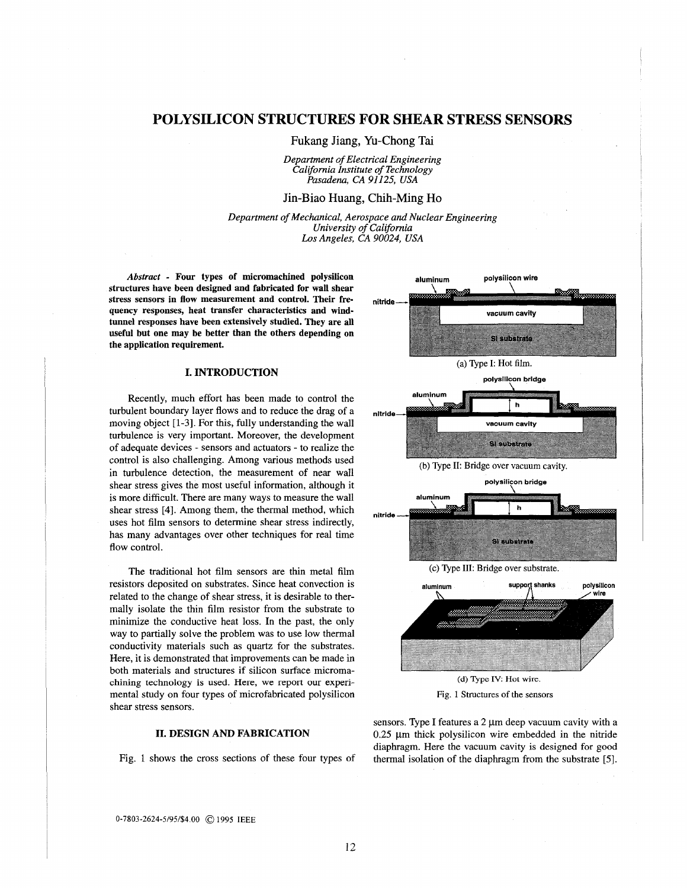# **POLYSILICON STRUCTURES FOR SHEAR STRESS SENSORS**

Fukang Jiang, Yu-Chong Tai

*Department of Electrical Engineering California Institute of Technology Pasadena, CA 91 I25, USA* 

# Jin-Biao Huang, Chih-Ming Ho

*Department of Mechanical, Aerospace and Nuclear Engineering University of Caiifomia Los Angeles, CA 90024, USA* 

*Abstract* - **Four types of micromachined polysilicon structures have been designed and fabricated for wall shear stress sensors in flow measurement and control. Their frequency responses, heat transfer characteristics and windtunnel responses have been extensively studied. They are** all **useful but one may be better than the others depending on the application requirement.** 

### **I. INTRODUCTION**

Recently, much effort has been made to control the turbulent boundary layer flows and to reduce the drag of a moving object **[l-31.** For this, fully understanding the wall turbulence is very important. Moreover, the development of adequate devices - sensors and actuators - to realize the control is also challenging. Among various methods used in turbulence detection, the measurement of near wall shear stress gives the most useful information, although it is more difficult. There are many ways to measure the wall shear stress [4]. Among them, the thermal method, which uses hot film sensors to determine shear stress indirectly, has many advantages over other techniques for real time flow control.

The traditional hot film sensors are thin metal film resistors deposited on substrates. Since heat convection is related to the change of shear stress, it is desirable to thermally isolate the thin film resistor from the substrate to minimize the conductive heat loss. In the past, the only way to partially solve the problem was to use low thermal conductivity materials such as quartz for the substrates. Here, it is demonstrated that improvements can be made in both materials and structures if silicon surface micromachining technology **is used. Here, we** report our experimental study on four types of microfabricated polysilicon shear stress sensors.

### **11. DESIGN AND FABRICATION**

Fig. 1 shows the cross sections of these four types of



sensors. Type I features a  $2 \mu m$  deep vacuum cavity with a  $0.25$   $\mu$ m thick polysilicon wire embedded in the nitride diaphragm. Here the vacuum cavity is designed **for** good

thermal isolation of the diaphragm from the substrate *[5].* 

**0-7803-2624-5/95/\$4.00** @ **1995 IEEE**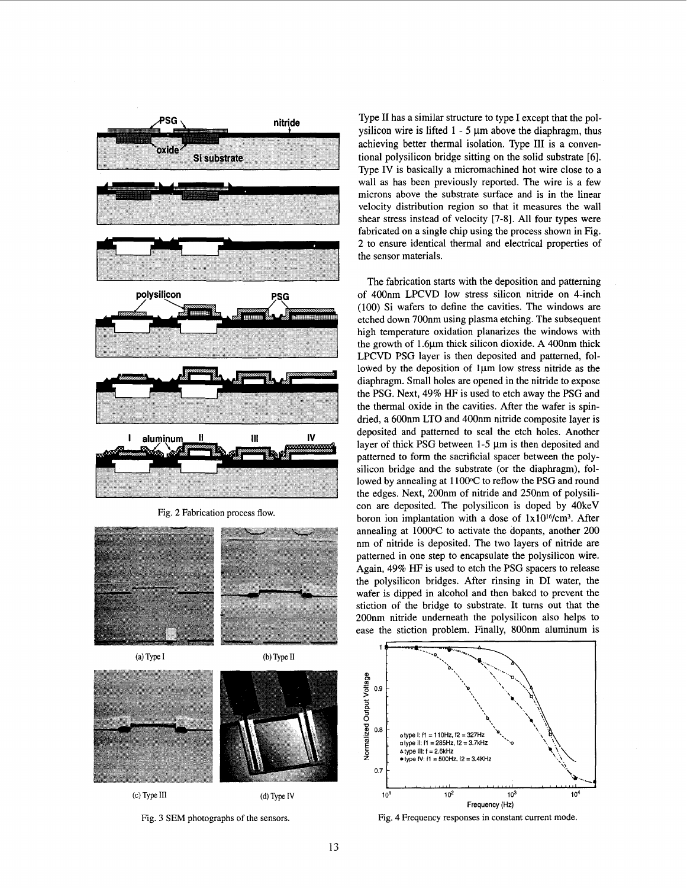<span id="page-1-0"></span>

Fig. **2** Fabrication process flow.



(a) Type I



 $(d)$  Type IV

 $(c)$  Type III

Fig. **3 SEM** photographs of the sensors.

Type I1 has a similar structure to type I except that the polysilicon wire is lifted  $1 - 5 \mu m$  above the diaphragm, thus achieving better thermal isolation. Type I11 is a conventional polysilicon bridge sitting on the solid substrate [6]. Type IV is basically a micromachined hot wire close to a wall as has been previously reported. The wire is a few microns above the substrate surface and is in the linear velocity distribution region *so* that it measures the wall shear stress instead of velocity [7-81. All four types were fabricated on a single chip using the process shown in Fig. 2 to ensure identical thermal and electrical properties of the sensor materials.

The fabrication starts with the deposition and patterning of 400nm LPCVD low stress silicon nitride on 4-inch (100) Si wafers to define the cavities. The windows are etched down 700nm using plasma etching. The subsequent high temperature oxidation planarizes the windows with the growth of 1.6 $\mu$ m thick silicon dioxide. A 400 $\mu$ m thick LPCVD PSG layer is then deposited and patterned, followed by the deposition of  $1\mu$ m low stress nitride as the diaphragm. Small holes are opened in the nitride to expose the PSG. Next, **49%** HF is used to etch away the PSG and the thermal oxide in the cavities. After the wafer is spindried, a 600nm LTO and 400nm nitride composite layer **is**  deposited and patterned to seal the etch holes. Another layer of thick PSG between 1-5  $\mu$ m is then deposited and patterned to form the sacrificial spacer between the polysilicon bridge and the substrate (or the diaphragm), followed by annealing at 1 100°C to reflow the PSG and round the edges. Next, 200nm of nitride and 250nm of polysilicon are deposited. The polysilicon is doped by 4OkeV boron ion implantation with a dose of  $1x10^{16}/cm^3$ . After annealing at 1000°C to activate the dopants, another 200 nm of nitride is deposited. The two layers of nitride are patterned in one step to encapsulate the polysilicon wire. Again, **49%** HF is used to etch the PSG spacers to release the polysilicon bridges. After rinsing in DI water, the wafer is dipped in alcohol and then baked to prevent the stiction of the bridge to substrate. It turns out that the 200nm nitride underneath the polysilicon also helps to ease the stiction problem. Finally, 800nm aluminum is



Fig. 4 Frequency responses in constant current mode.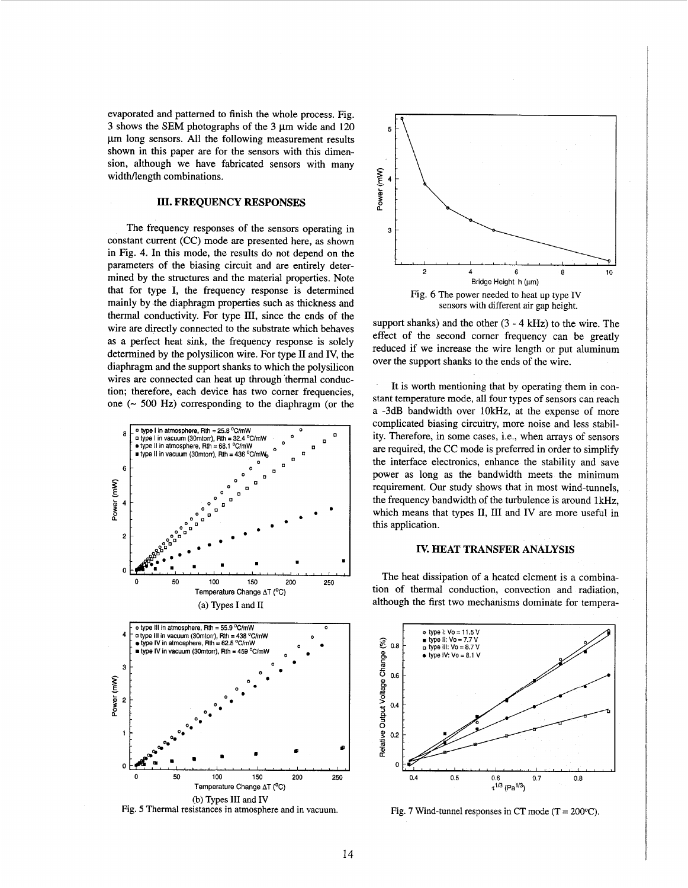<span id="page-2-0"></span>evaporated and patterned to finish the whole process. [Fig.](#page-1-0) [3](#page-1-0) shows the **SEM** photographs of the 3 pm wide and 120  $\mu$ m long sensors. All the following measurement results shown in this paper are for the sensors with this dimension, although we have fabricated sensors with many widtMength combinations.

### **III. FREQUENCY RESPONSES**

The frequency responses of the sensors operating in constant current **(CC)** mode are presented here, as shown in Fig. 4. In this mode, the results do not depend on the parameters of the biasing circuit and are entirely determined by the structures and the material properties. Note that for type I, the frequency response is determined mainly by the diaphragm properties such as thickness and thermal conductivity. **For** type HI, since the ends of the wire are directly connected to the substrate which behaves as a perfect heat sink, the frequency response is solely determined by the polysilicon wire. For type 11 and **IV,** the diaphragm and the support shanks to which the polysilicon wires are connected can heat up through thermal conduction; therefore, each device has two comer frequencies, one  $(-500 \text{ Hz})$  corresponding to the diaphragm (or the







support shanks) and the other  $(3 - 4$  kHz) to the wire. The effect of the second comer frequency can be greatly reduced if we increase the wire length or put aluminum over the support shanks to the ends of the wire.

It is worth mentioning that by operating them in constant temperature mode, all four types of sensors can reach a **-3dB** bandwidth over **lOkHz,** at the expense of more complicated biasing circuitry, more noise and less stability. Therefore, in some cases, i.e., when arrays of sensors are required, the *CC* mode is preferred in order to simplify the interface electronics, enhance the stability and save power **as** long **as** the bandwidth meets the minimum requirement. Our study shows that in most wind-tunnels, the frequency bandwidth of the turbulence is around 1kHz, which means that types II, III and IV are more useful in this application.

# **IV. HEAT TRANSFER ANALYSIS**

The heat dissipation of a heated element is a combination of thermal conduction, convection and radiation, although the first two mechanisms dominate for tempera-



Fig. 7 Wind-tunnel responses in CT mode  $(T = 200^{\circ}C)$ .